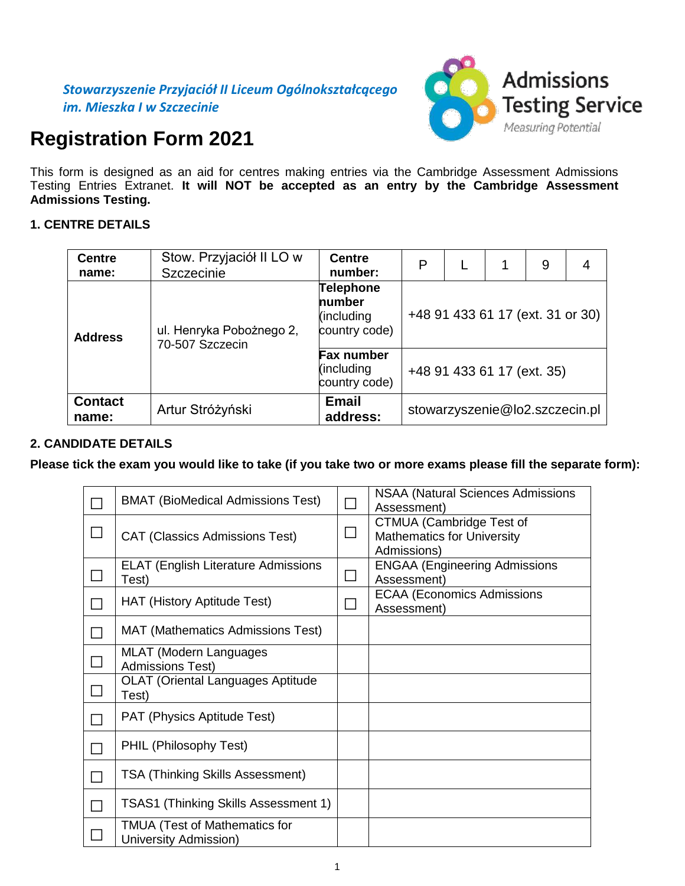

# **Registration Form 2021**

This form is designed as an aid for centres making entries via the Cambridge Assessment Admissions Testing Entries Extranet. **It will NOT be accepted as an entry by the Cambridge Assessment Admissions Testing.**

# **1. CENTRE DETAILS**

| <b>Centre</b>           | Stow. Przyjaciół II LO w                    | <b>Centre</b>                                             | P                                |  |                                | 9 | 4 |  |  |  |
|-------------------------|---------------------------------------------|-----------------------------------------------------------|----------------------------------|--|--------------------------------|---|---|--|--|--|
| name:                   | Szczecinie                                  | number:                                                   |                                  |  |                                |   |   |  |  |  |
| <b>Address</b>          | ul. Henryka Pobożnego 2,<br>70-507 Szczecin | <b>Telephone</b><br>number<br>(including<br>country code) | +48 91 433 61 17 (ext. 31 or 30) |  |                                |   |   |  |  |  |
|                         |                                             | <b>Fax number</b><br>(including<br>country code)          | +48 91 433 61 17 (ext. 35)       |  |                                |   |   |  |  |  |
| <b>Contact</b><br>name: | Artur Stróżyński                            | <b>Email</b><br>address:                                  |                                  |  | stowarzyszenie@lo2.szczecin.pl |   |   |  |  |  |

# **2. CANDIDATE DETAILS**

**Please tick the exam you would like to take (if you take two or more exams please fill the separate form):**

| <b>BMAT (BioMedical Admissions Test)</b>                      | <b>NSAA (Natural Sciences Admissions</b><br>Assessment)                      |
|---------------------------------------------------------------|------------------------------------------------------------------------------|
| <b>CAT (Classics Admissions Test)</b>                         | CTMUA (Cambridge Test of<br><b>Mathematics for University</b><br>Admissions) |
| <b>ELAT (English Literature Admissions</b><br>Test)           | <b>ENGAA (Engineering Admissions</b><br>Assessment)                          |
| <b>HAT (History Aptitude Test)</b>                            | <b>ECAA (Economics Admissions</b><br>Assessment)                             |
| MAT (Mathematics Admissions Test)                             |                                                                              |
| MLAT (Modern Languages<br><b>Admissions Test)</b>             |                                                                              |
| <b>OLAT (Oriental Languages Aptitude</b><br>Test)             |                                                                              |
| PAT (Physics Aptitude Test)                                   |                                                                              |
| PHIL (Philosophy Test)                                        |                                                                              |
| <b>TSA (Thinking Skills Assessment)</b>                       |                                                                              |
| TSAS1 (Thinking Skills Assessment 1)                          |                                                                              |
| <b>TMUA (Test of Mathematics for</b><br>University Admission) |                                                                              |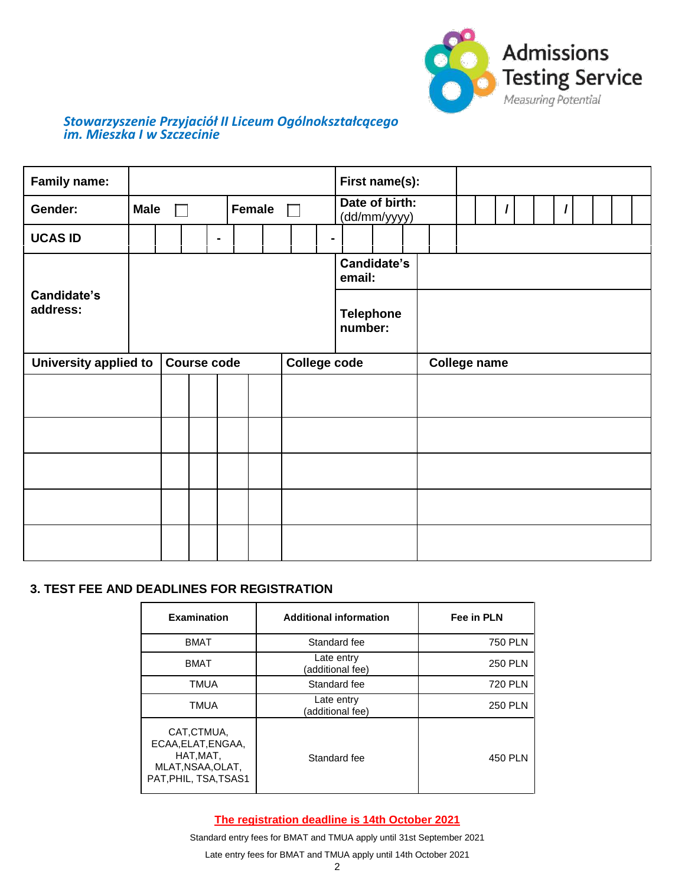

# *Stowarzyszenie Przyjaciół II Liceum Ogólnokształcącego im. Mieszka I w Szczecinie*

| <b>Family name:</b>     |                              |  |                    |                |  |  |                                |                     | First name(s):              |  |                     |  |  |  |  |  |  |
|-------------------------|------------------------------|--|--------------------|----------------|--|--|--------------------------------|---------------------|-----------------------------|--|---------------------|--|--|--|--|--|--|
| Gender:                 | <b>Male</b><br><b>Female</b> |  |                    |                |  |  | Date of birth:<br>(dd/mm/yyyy) |                     |                             |  |                     |  |  |  |  |  |  |
| <b>UCAS ID</b>          |                              |  |                    | $\blacksquare$ |  |  |                                |                     |                             |  |                     |  |  |  |  |  |  |
|                         |                              |  |                    |                |  |  |                                |                     | Candidate's<br>email:       |  |                     |  |  |  |  |  |  |
| Candidate's<br>address: |                              |  |                    |                |  |  |                                |                     | <b>Telephone</b><br>number: |  |                     |  |  |  |  |  |  |
| University applied to   |                              |  | <b>Course code</b> |                |  |  |                                | <b>College code</b> |                             |  | <b>College name</b> |  |  |  |  |  |  |
|                         |                              |  |                    |                |  |  |                                |                     |                             |  |                     |  |  |  |  |  |  |
|                         |                              |  |                    |                |  |  |                                |                     |                             |  |                     |  |  |  |  |  |  |
|                         |                              |  |                    |                |  |  |                                |                     |                             |  |                     |  |  |  |  |  |  |
|                         |                              |  |                    |                |  |  |                                |                     |                             |  |                     |  |  |  |  |  |  |
|                         |                              |  |                    |                |  |  |                                |                     |                             |  |                     |  |  |  |  |  |  |

## **3. TEST FEE AND DEADLINES FOR REGISTRATION**

| <b>Examination</b>                                                                          | <b>Additional information</b>  | Fee in PLN     |  |  |  |  |
|---------------------------------------------------------------------------------------------|--------------------------------|----------------|--|--|--|--|
| <b>BMAT</b>                                                                                 | Standard fee                   | <b>750 PLN</b> |  |  |  |  |
| <b>BMAT</b>                                                                                 | Late entry<br>(additional fee) | <b>250 PLN</b> |  |  |  |  |
| <b>TMUA</b>                                                                                 | Standard fee                   | <b>720 PLN</b> |  |  |  |  |
| <b>TMUA</b>                                                                                 | Late entry<br>(additional fee) | <b>250 PLN</b> |  |  |  |  |
| CAT,CTMUA,<br>ECAA, ELAT, ENGAA,<br>HAT, MAT,<br>MLAT, NSAA, OLAT,<br>PAT, PHIL, TSA, TSAS1 | Standard fee                   | 450 PLN        |  |  |  |  |

**The registration deadline is 14th October 2021**

Standard entry fees for BMAT and TMUA apply until 31st September 2021

Late entry fees for BMAT and TMUA apply until 14th October 2021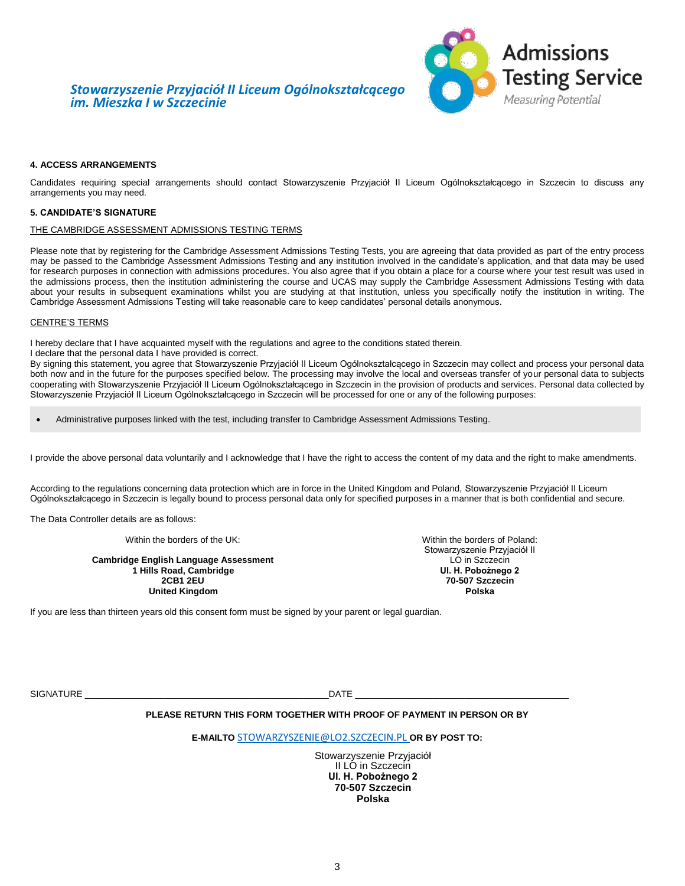## *Stowarzyszenie Przyjaciół II Liceum Ogólnokształcącego im. Mieszka I w Szczecinie*



### **4. ACCESS ARRANGEMENTS**

Candidates requiring special arrangements should contact Stowarzyszenie Przyjaciół II Liceum Ogólnokształcącego in Szczecin to discuss any arrangements you may need.

#### **5. CANDIDATE'S SIGNATURE**

#### THE CAMBRIDGE ASSESSMENT ADMISSIONS TESTING TERMS

Please note that by registering for the Cambridge Assessment Admissions Testing Tests, you are agreeing that data provided as part of the entry process may be passed to the Cambridge Assessment Admissions Testing and any institution involved in the candidate's application, and that data may be used for research purposes in connection with admissions procedures. You also agree that if you obtain a place for a course where your test result was used in the admissions process, then the institution administering the course and UCAS may supply the Cambridge Assessment Admissions Testing with data about your results in subsequent examinations whilst you are studying at that institution, unless you specifically notify the institution in writing. The Cambridge Assessment Admissions Testing will take reasonable care to keep candidates' personal details anonymous.

#### CENTRE'S TERMS

I hereby declare that I have [acquainted myself with th](http://www.dict.pl/plen?word=acquaint%20oneself%20with%20something&lang=EN)e regulations and agree to the conditions stated therein.

I declare that the personal data I have provided is correct.

By signing this statement, you agree that Stowarzyszenie Przyjaciół II Liceum Ogólnokształcącego in Szczecin may collect and process your personal data both now and in the future for the purposes specified below. The processing may involve the local and overseas transfer of your personal data to subjects cooperating with Stowarzyszenie Przyjaciół II Liceum Ogólnokształcącego in Szczecin in the provision of products and services. Personal data collected by Stowarzyszenie Przyjaciół II Liceum Ogólnokształcącego in Szczecin will be processed for one or any of the following purposes:

Administrative purposes linked with the test, including transfer to Cambridge Assessment Admissions Testing.

I provide the above personal data voluntarily and I acknowledge that I have the right to access the content of my data and the right to make amendments.

According to the regulations concerning data protection which are in force in the United Kingdom and Poland, Stowarzyszenie Przyjaciół II Liceum Ogólnokształcącego in Szczecin is legally bound to process personal data only for specified purposes in a manner that is both confidential and secure.

The Data Controller details are as follows:

Within the borders of the UK: Within the borders of Poland:

**Cambridge English Language Assessment 1 Hills Road, Cambridge 2CB1 2EU 70-507 Szczecin United Kingdom** 

Stowarzyszenie Przyjaciół II LO in Szczecin<br>**UI. H. Pobożnego 2** 

If you are less than thirteen years old this consent form must be signed by your parent or legal guardian.

SIGNATURE \_\_\_\_\_\_\_\_\_\_\_\_\_\_\_\_\_\_\_\_\_\_\_\_\_\_\_\_\_\_\_\_\_\_\_\_\_\_\_\_\_\_\_\_\_\_\_\_\_DATE \_\_\_\_\_\_\_\_\_\_\_\_\_\_\_\_\_\_\_\_\_\_\_\_\_\_\_\_\_\_\_\_\_\_\_\_\_\_\_\_\_\_\_

#### **PLEASE RETURN THIS FORM TOGETHER WITH PROOF OF PAYMENT IN PERSON OR BY**

**E-MAILTO** [STOWARZYSZENIE@LO2.SZCZECIN.PL](mailto:STOWARZYSZENIE@LO2.SZCZECIN.PL) **OR BY POST TO:**

Stowarzyszenie Przyjaciół II LO in Szczecin **Ul. H. Pobożnego 2 70-507 Szczecin Polska**